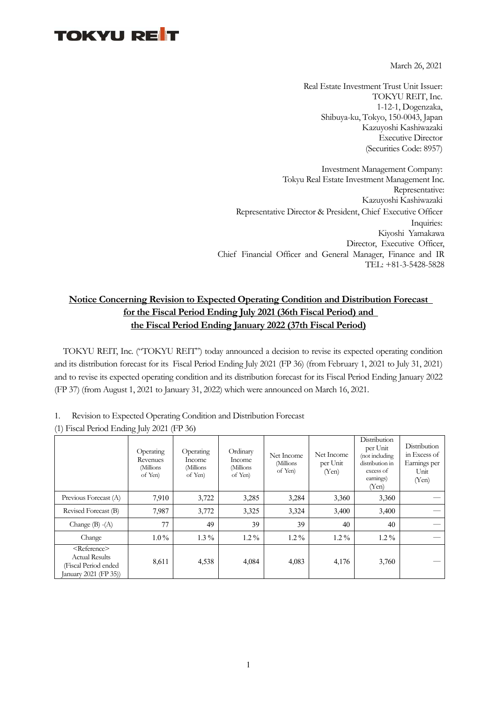## **TOKYU RET**

March 26, 2021

Real Estate Investment Trust Unit Issuer: TOKYU REIT, Inc. 1-12-1, Dogenzaka, Shibuya-ku, Tokyo, 150-0043, Japan Kazuyoshi Kashiwazaki Executive Director (Securities Code: 8957)

Investment Management Company: Tokyu Real Estate Investment Management Inc. Representative: Kazuyoshi Kashiwazaki Representative Director & President, Chief Executive Officer Inquiries: Kiyoshi Yamakawa Director, Executive Officer, Chief Financial Officer and General Manager, Finance and IR TEL: +81-3-5428-5828

## **Notice Concerning Revision to Expected Operating Condition and Distribution Forecast for the Fiscal Period Ending July 2021 (36th Fiscal Period) and the Fiscal Period Ending January 2022 (37th Fiscal Period)**

TOKYU REIT, Inc. ("TOKYU REIT") today announced a decision to revise its expected operating condition and its distribution forecast for its Fiscal Period Ending July 2021 (FP 36) (from February 1, 2021 to July 31, 2021) and to revise its expected operating condition and its distribution forecast for its Fiscal Period Ending January 2022 (FP 37) (from August 1, 2021 to January 31, 2022) which were announced on March 16, 2021.

| Revision to Expected Operating Condition and Distribution Forecast |  |
|--------------------------------------------------------------------|--|
|--------------------------------------------------------------------|--|

| (1) Fiscal Period Ending July 2021 (FP 36) |  |  |
|--------------------------------------------|--|--|
|--------------------------------------------|--|--|

|                                                                                                      | Operating<br>Revenues<br>(Millions<br>of Yen) | Operating<br>Income<br>(Millions<br>of Yen) | Ordinary<br>Income<br>(Millions<br>of Yen) | Net Income<br>(Millions<br>of Yen) | Net Income<br>per Unit<br>(Yen) | Distribution<br>per Unit<br>(not including<br>distribution in<br>excess of<br>earnings)<br>(Yen) | Distribution<br>in Excess of<br>Earnings per<br>Unit<br>(Yen) |
|------------------------------------------------------------------------------------------------------|-----------------------------------------------|---------------------------------------------|--------------------------------------------|------------------------------------|---------------------------------|--------------------------------------------------------------------------------------------------|---------------------------------------------------------------|
| Previous Forecast (A)                                                                                | 7,910                                         | 3,722                                       | 3,285                                      | 3,284                              | 3,360                           | 3,360                                                                                            |                                                               |
| Revised Forecast (B)                                                                                 | 7,987                                         | 3,772                                       | 3,325                                      | 3,324                              | 3,400                           | 3,400                                                                                            |                                                               |
| Change $(B) - (A)$                                                                                   | 77                                            | 49                                          | 39                                         | 39                                 | 40                              | 40                                                                                               |                                                               |
| Change                                                                                               | $1.0\%$                                       | $1.3\%$                                     | $1.2\%$                                    | $1.2\%$                            | $1.2\%$                         | $1.2\%$                                                                                          |                                                               |
| <reference><br/><b>Actual Results</b><br/>(Fiscal Period ended<br/>January 2021 (FP 35))</reference> | 8,611                                         | 4,538                                       | 4,084                                      | 4,083                              | 4,176                           | 3,760                                                                                            |                                                               |